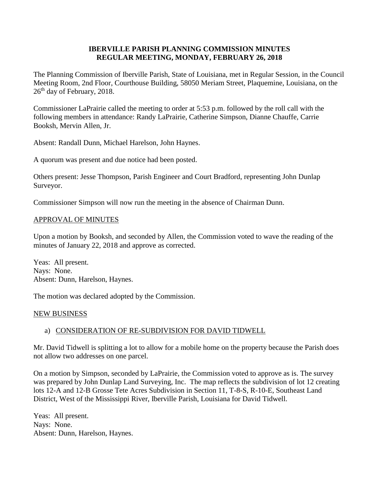## **IBERVILLE PARISH PLANNING COMMISSION MINUTES REGULAR MEETING, MONDAY, FEBRUARY 26, 2018**

The Planning Commission of Iberville Parish, State of Louisiana, met in Regular Session, in the Council Meeting Room, 2nd Floor, Courthouse Building, 58050 Meriam Street, Plaquemine, Louisiana, on the  $26<sup>th</sup>$  day of February, 2018.

Commissioner LaPrairie called the meeting to order at 5:53 p.m. followed by the roll call with the following members in attendance: Randy LaPrairie, Catherine Simpson, Dianne Chauffe, Carrie Booksh, Mervin Allen, Jr.

Absent: Randall Dunn, Michael Harelson, John Haynes.

A quorum was present and due notice had been posted.

Others present: Jesse Thompson, Parish Engineer and Court Bradford, representing John Dunlap Surveyor.

Commissioner Simpson will now run the meeting in the absence of Chairman Dunn.

## APPROVAL OF MINUTES

Upon a motion by Booksh, and seconded by Allen, the Commission voted to wave the reading of the minutes of January 22, 2018 and approve as corrected.

Yeas: All present. Nays: None. Absent: Dunn, Harelson, Haynes.

The motion was declared adopted by the Commission.

### NEW BUSINESS

# a) CONSIDERATION OF RE-SUBDIVISION FOR DAVID TIDWELL

Mr. David Tidwell is splitting a lot to allow for a mobile home on the property because the Parish does not allow two addresses on one parcel.

On a motion by Simpson, seconded by LaPrairie, the Commission voted to approve as is. The survey was prepared by John Dunlap Land Surveying, Inc. The map reflects the subdivision of lot 12 creating lots 12-A and 12-B Grosse Tete Acres Subdivision in Section 11, T-8-S, R-10-E, Southeast Land District, West of the Mississippi River, Iberville Parish, Louisiana for David Tidwell.

Yeas: All present. Nays: None. Absent: Dunn, Harelson, Haynes.